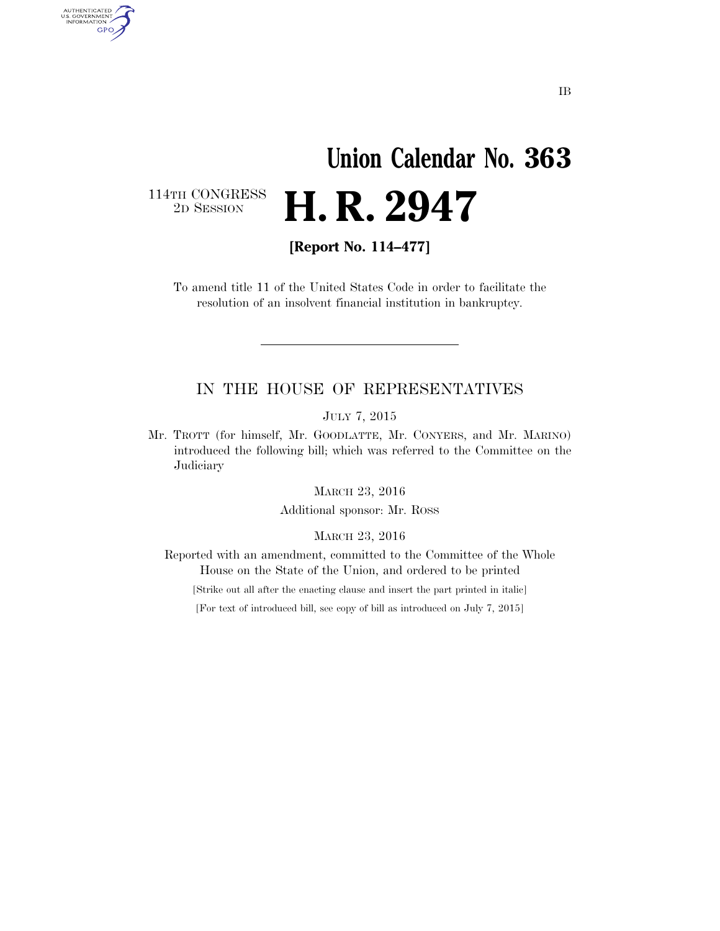# **Union Calendar No. 363**  2D SESSION **H. R. 2947**

114TH CONGRESS<br>2D SESSION

AUTHENTICATED<br>U.S. GOVERNMENT<br>INFORMATION GPO

**[Report No. 114–477]** 

To amend title 11 of the United States Code in order to facilitate the resolution of an insolvent financial institution in bankruptcy.

### IN THE HOUSE OF REPRESENTATIVES

JULY 7, 2015

Mr. TROTT (for himself, Mr. GOODLATTE, Mr. CONYERS, and Mr. MARINO) introduced the following bill; which was referred to the Committee on the **Judiciary** 

MARCH 23, 2016

Additional sponsor: Mr. ROSS

MARCH 23, 2016

Reported with an amendment, committed to the Committee of the Whole House on the State of the Union, and ordered to be printed

[Strike out all after the enacting clause and insert the part printed in italic]

[For text of introduced bill, see copy of bill as introduced on July 7, 2015]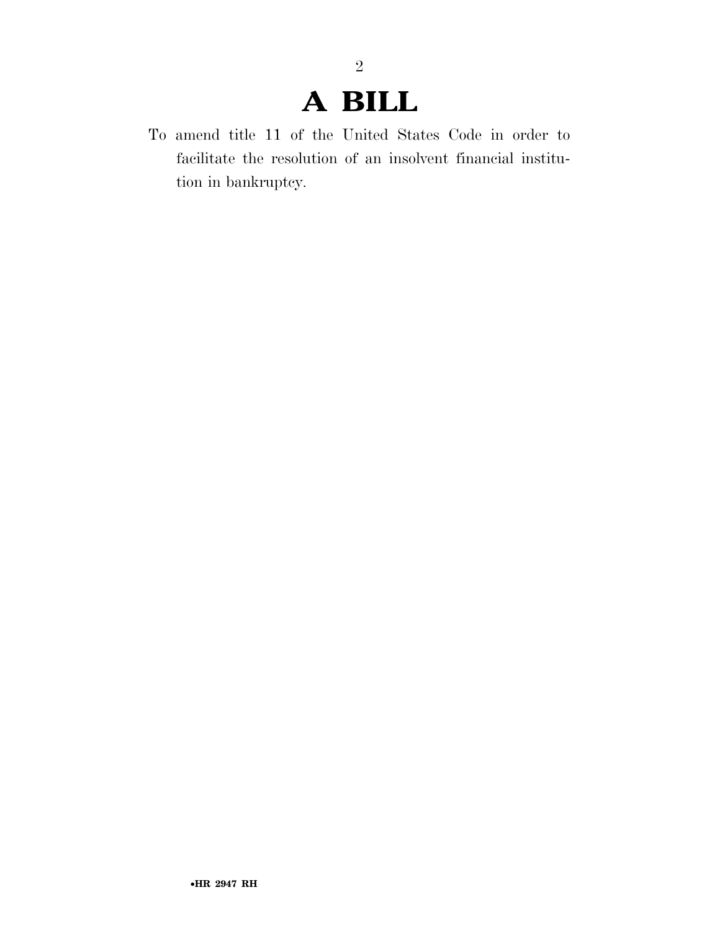# **A BILL**

2

To amend title 11 of the United States Code in order to facilitate the resolution of an insolvent financial institution in bankruptcy.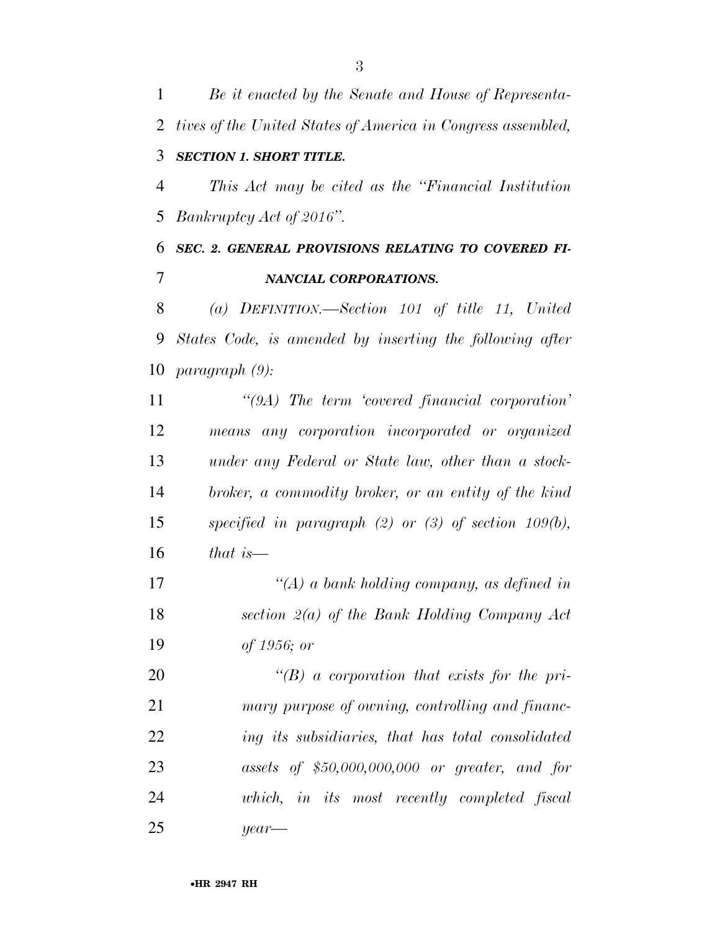*Be it enacted by the Senate and House of Representa- tives of the United States of America in Congress assembled, SECTION 1. SHORT TITLE. This Act may be cited as the ''Financial Institution Bankruptcy Act of 2016''. SEC. 2. GENERAL PROVISIONS RELATING TO COVERED FI- NANCIAL CORPORATIONS. (a) DEFINITION.—Section 101 of title 11, United States Code, is amended by inserting the following after paragraph (9): ''(9A) The term 'covered financial corporation' means any corporation incorporated or organized under any Federal or State law, other than a stock- broker, a commodity broker, or an entity of the kind specified in paragraph (2) or (3) of section 109(b), that is—* 

 *''(A) a bank holding company, as defined in section 2(a) of the Bank Holding Company Act of 1956; or* 

 *''(B) a corporation that exists for the pri- mary purpose of owning, controlling and financ- ing its subsidiaries, that has total consolidated assets of \$50,000,000,000 or greater, and for which, in its most recently completed fiscal year—*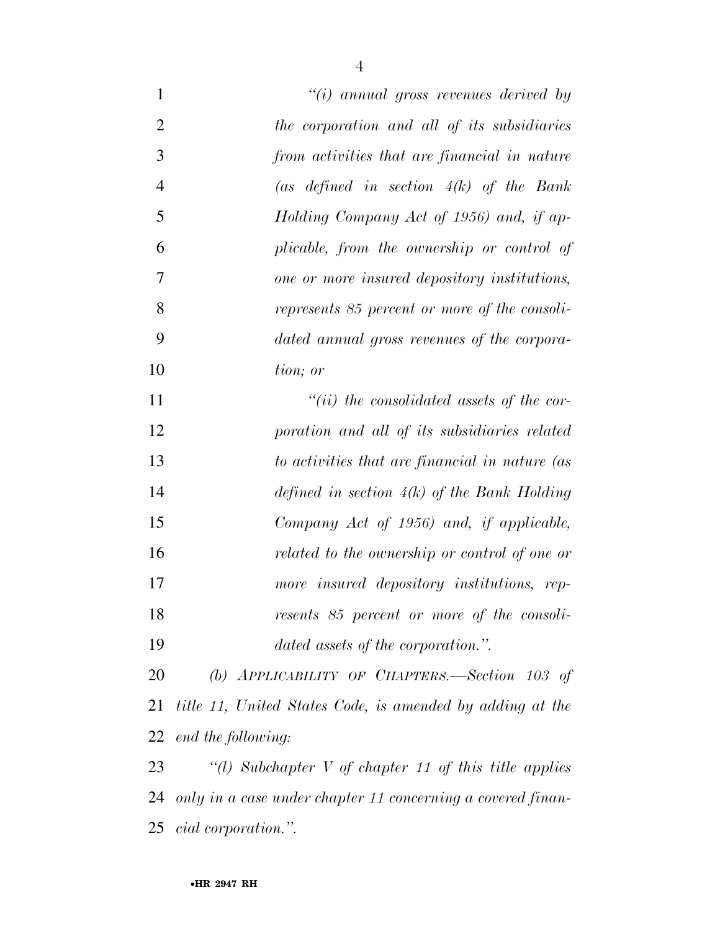| $\mathbf{1}$   | " $(i)$ annual gross revenues derived by                    |
|----------------|-------------------------------------------------------------|
| $\overline{2}$ | the corporation and all of its subsidiaries                 |
| 3              | from activities that are financial in nature                |
| $\overline{4}$ | (as defined in section $4(k)$ of the Bank                   |
| 5              | Holding Company Act of 1956) and, if ap-                    |
| 6              | plicable, from the ownership or control of                  |
| 7              | one or more insured depository institutions,                |
| 8              | represents 85 percent or more of the consoli-               |
| 9              | dated annual gross revenues of the corpora-                 |
| 10             | tion; or                                                    |
| 11             | $``(ii)$ the consolidated assets of the cor-                |
| 12             | poration and all of its subsidiaries related                |
| 13             | to activities that are financial in nature (as              |
| 14             | defined in section $4(k)$ of the Bank Holding               |
| 15             | Company Act of 1956) and, if applicable,                    |
| 16             | related to the ownership or control of one or               |
| 17             | more insured depository institutions, rep-                  |
| 18             | resents 85 percent or more of the consoli-                  |
| 19             | dated assets of the corporation.".                          |
| 20             | (b) APPLICABILITY OF CHAPTERS.—Section $103$ of             |
| 21             | title 11, United States Code, is amended by adding at the   |
| 22             | end the following:                                          |
| 23             | "(1) Subchapter V of chapter 11 of this title applies       |
| 24             | only in a case under chapter 11 concerning a covered finan- |
| 25             | cial corporation.".                                         |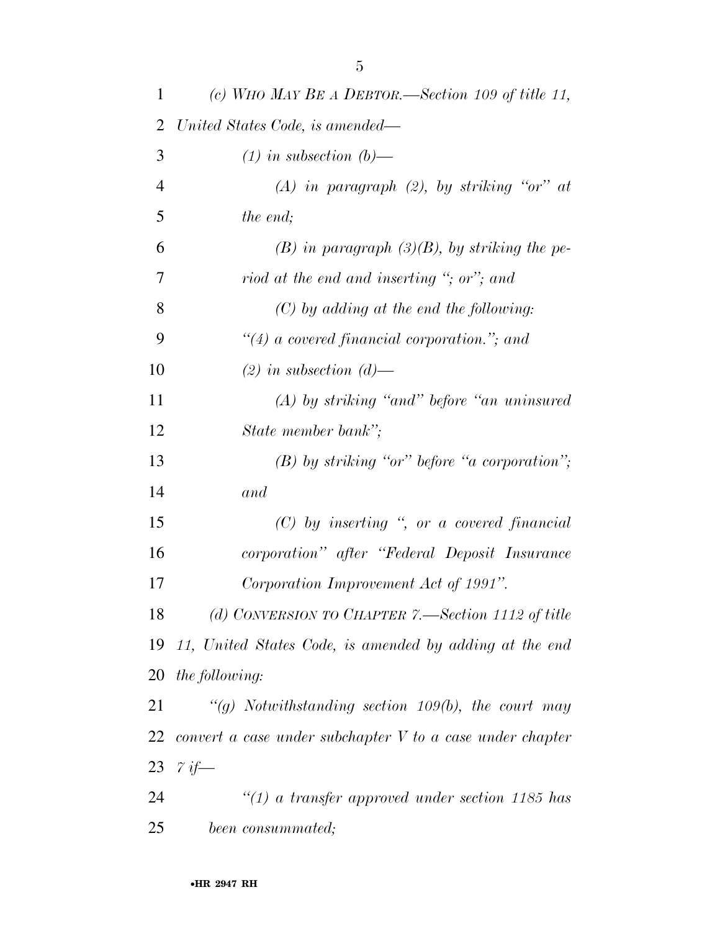| $\mathbf{1}$   | (c) WHO MAY BE A DEBTOR.—Section 109 of title 11,           |
|----------------|-------------------------------------------------------------|
| 2              | United States Code, is amended—                             |
| 3              | $(1)$ in subsection $(b)$ —                                 |
| $\overline{4}$ | (A) in paragraph (2), by striking "or" at                   |
| 5              | the end;                                                    |
| 6              | $(B)$ in paragraph $(3)(B)$ , by striking the pe-           |
| 7              | riod at the end and inserting "; or"; and                   |
| 8              | $(C)$ by adding at the end the following:                   |
| 9              | $\lq(4)$ a covered financial corporation."; and             |
| 10             | $(2)$ in subsection $(d)$ —                                 |
| 11             | $(A)$ by striking "and" before "an uninsured"               |
| 12             | State member bank";                                         |
| 13             | $(B)$ by striking "or" before "a corporation";              |
| 14             | and                                                         |
| 15             | $(C)$ by inserting ", or a covered financial                |
| 16             | corporation" after "Federal Deposit Insurance               |
| 17             | Corporation Improvement Act of 1991".                       |
| 18             | (d) CONVERSION TO CHAPTER 7.—Section 1112 of title          |
| 19             | 11, United States Code, is amended by adding at the end     |
| 20             | <i>the following:</i>                                       |
| 21             | "(g) Notwithstanding section 109(b), the court may          |
| 22             | convert a case under subchapter $V$ to a case under chapter |
| 23             | $\gamma$ if—                                                |
| 24             | $\lq(1)$ a transfer approved under section 1185 has         |
| 25             | been consummated;                                           |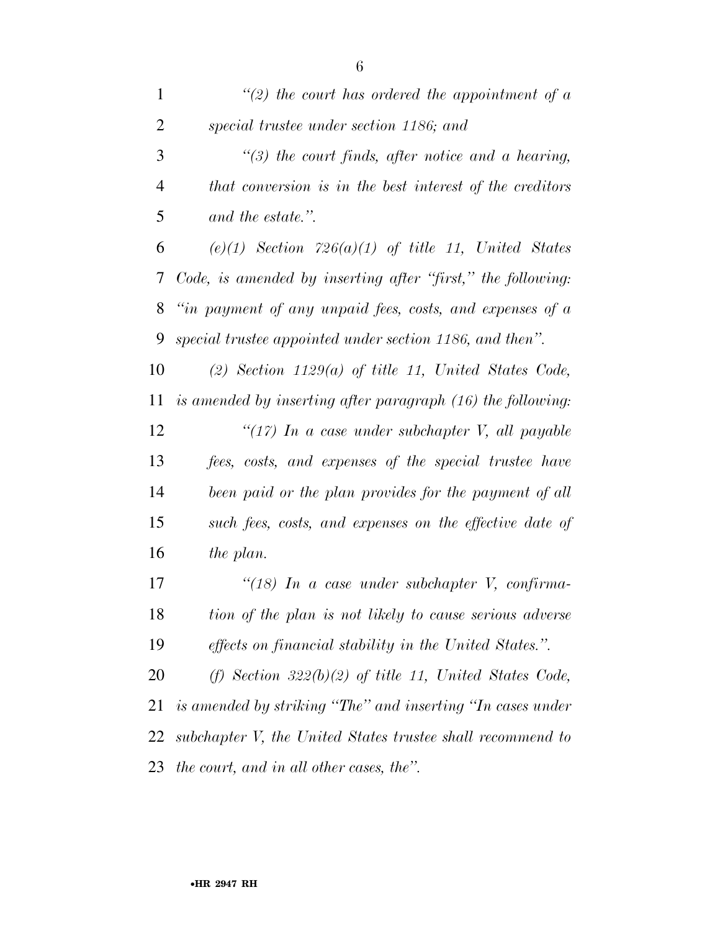| $\mathbf{1}$   | $\lq(2)$ the court has ordered the appointment of a         |
|----------------|-------------------------------------------------------------|
| $\overline{2}$ | special trustee under section 1186; and                     |
| 3              | $\lq(3)$ the court finds, after notice and a hearing,       |
| $\overline{4}$ | that conversion is in the best interest of the creditors    |
| 5              | and the estate.".                                           |
| 6              | $(e)(1)$ Section 726 $(a)(1)$ of title 11, United States    |
| 7              | Code, is amended by inserting after "first," the following: |
| 8              | "in payment of any unpaid fees, costs, and expenses of a    |
| 9              | special trustee appointed under section 1186, and then".    |
| 10             | $(2)$ Section 1129 $(a)$ of title 11, United States Code,   |
| 11             | is amended by inserting after paragraph (16) the following: |
| 12             | " $(17)$ In a case under subchapter V, all payable          |
| 13             | fees, costs, and expenses of the special trustee have       |
| 14             | been paid or the plan provides for the payment of all       |
| 15             | such fees, costs, and expenses on the effective date of     |
| 16             | the plan.                                                   |
| 17             | " $(18)$ In a case under subchapter V, confirma-            |
| 18             | tion of the plan is not likely to cause serious adverse     |
| 19             | effects on financial stability in the United States.".      |
| 20             | (f) Section $322(b)(2)$ of title 11, United States Code,    |
| 21             | is amended by striking "The" and inserting "In cases under  |
| 22             | subchapter V, the United States trustee shall recommend to  |
| 23             | the court, and in all other cases, the".                    |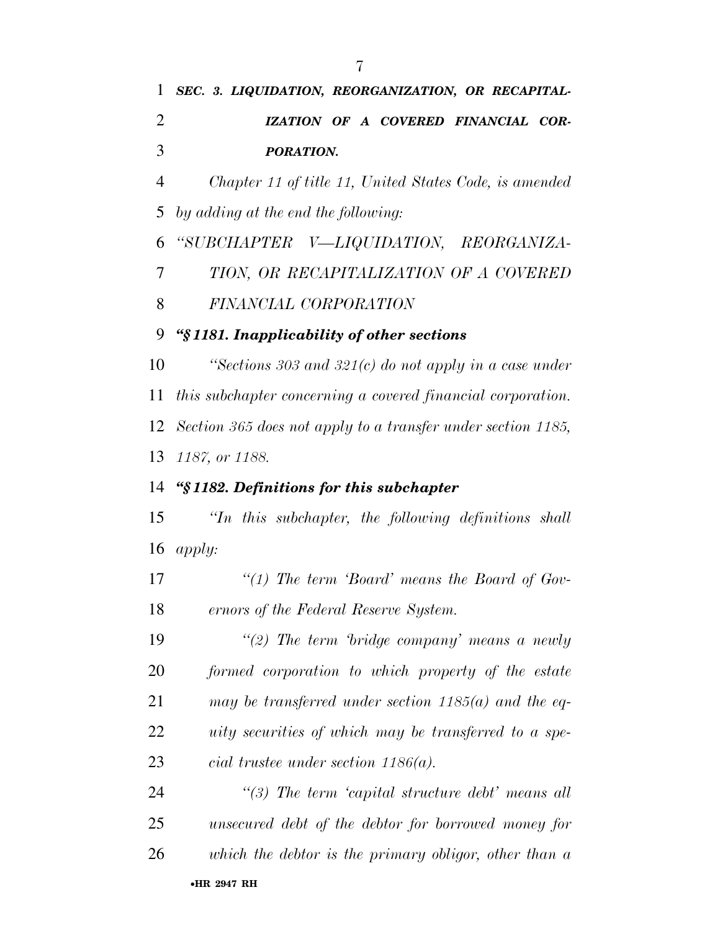*SEC. 3. LIQUIDATION, REORGANIZATION, OR RECAPITAL- IZATION OF A COVERED FINANCIAL COR- PORATION. Chapter 11 of title 11, United States Code, is amended by adding at the end the following: ''SUBCHAPTER V—LIQUIDATION, REORGANIZA- TION, OR RECAPITALIZATION OF A COVERED FINANCIAL CORPORATION ''§ 1181. Inapplicability of other sections ''Sections 303 and 321(c) do not apply in a case under this subchapter concerning a covered financial corporation. Section 365 does not apply to a transfer under section 1185, 1187, or 1188. ''§ 1182. Definitions for this subchapter ''In this subchapter, the following definitions shall apply: ''(1) The term 'Board' means the Board of Gov- ernors of the Federal Reserve System. ''(2) The term 'bridge company' means a newly formed corporation to which property of the estate may be transferred under section 1185(a) and the eq- uity securities of which may be transferred to a spe- cial trustee under section 1186(a). ''(3) The term 'capital structure debt' means all unsecured debt of the debtor for borrowed money for*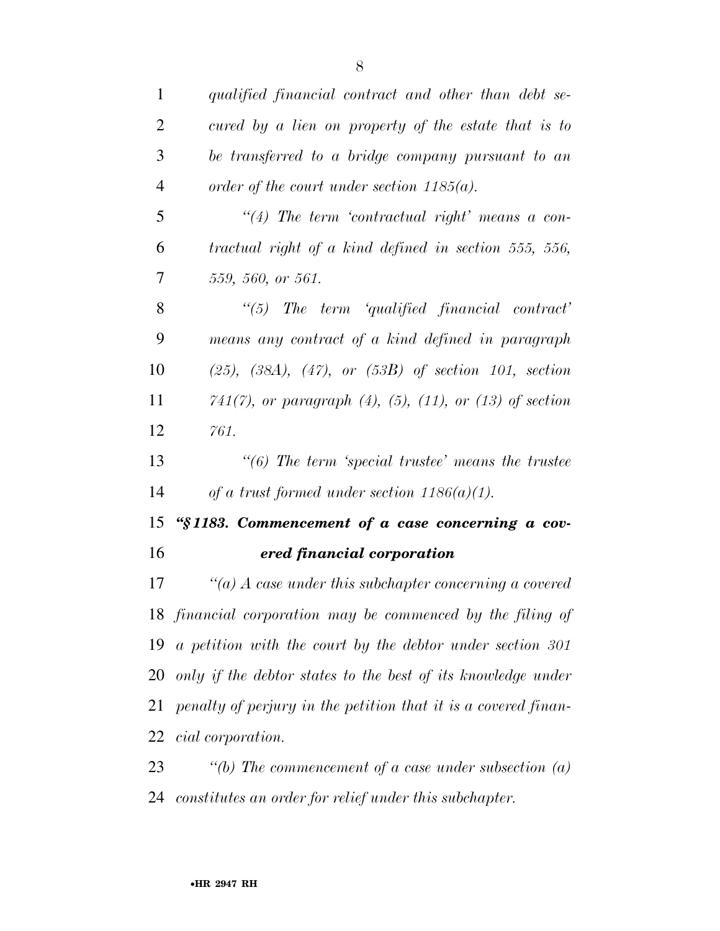| $\mathbf{1}$   | qualified financial contract and other than debt se-                  |
|----------------|-----------------------------------------------------------------------|
| $\overline{2}$ | cured by a lien on property of the estate that is to                  |
| 3              | be transferred to a bridge company pursuant to an                     |
| $\overline{4}$ | order of the court under section $1185(a)$ .                          |
| 5              | $\lq(4)$ The term 'contractual right' means a con-                    |
| 6              | $tractual$ right of a kind defined in section 555, 556,               |
| 7              | 559, 560, or 561.                                                     |
| 8              | $\lq(5)$ The term 'qualified financial contract'                      |
| 9              | means any contract of a kind defined in paragraph                     |
| 10             | $(25)$ , $(38A)$ , $(47)$ , or $(53B)$ of section 101, section        |
| 11             | $741(7)$ , or paragraph $(4)$ , $(5)$ , $(11)$ , or $(13)$ of section |
| 12             | 761.                                                                  |
| 13             |                                                                       |
| 14             | of a trust formed under section $1186(a)(1)$ .                        |
| 15             | "§1183. Commencement of a case concerning a cov-                      |
| 16             | ered financial corporation                                            |
| 17             | "(a) $\Lambda$ case under this subchapter concerning a covered        |
|                | 18 financial corporation may be commenced by the filing of            |
|                | 19 a petition with the court by the debtor under section $301$        |
|                | 20 only if the debtor states to the best of its knowledge under       |
| 21             | penalty of perjury in the petition that it is a covered finan-        |
| 22             | cial corporation.                                                     |
| 23             | "(b) The commencement of a case under subsection $(a)$                |
| 24             | constitutes an order for relief under this subchapter.                |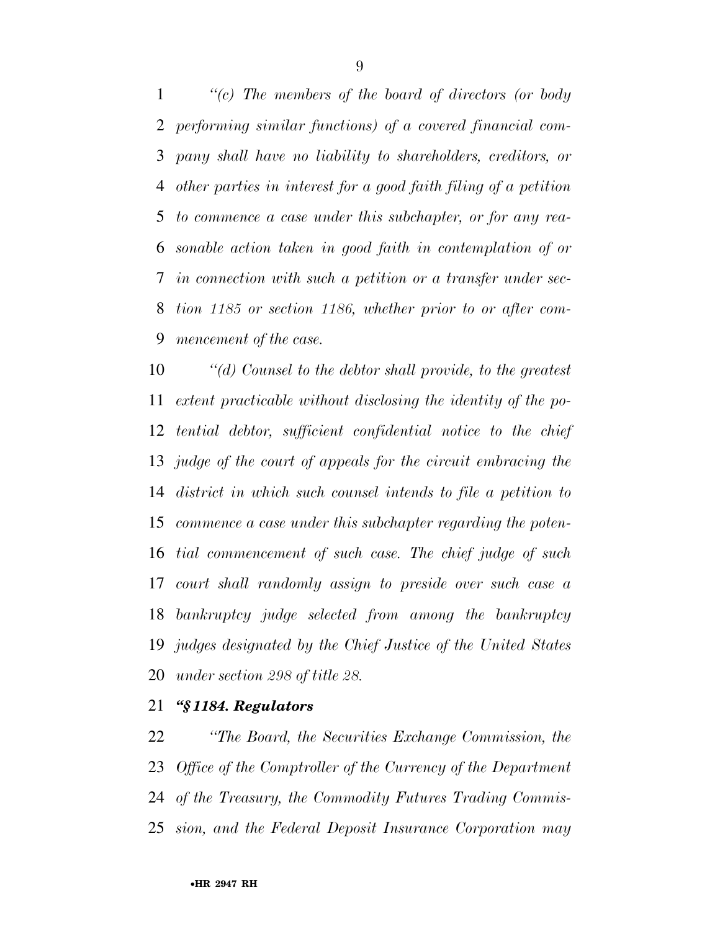*''(c) The members of the board of directors (or body performing similar functions) of a covered financial com- pany shall have no liability to shareholders, creditors, or other parties in interest for a good faith filing of a petition to commence a case under this subchapter, or for any rea- sonable action taken in good faith in contemplation of or in connection with such a petition or a transfer under sec- tion 1185 or section 1186, whether prior to or after com-mencement of the case.* 

 *''(d) Counsel to the debtor shall provide, to the greatest extent practicable without disclosing the identity of the po- tential debtor, sufficient confidential notice to the chief judge of the court of appeals for the circuit embracing the district in which such counsel intends to file a petition to commence a case under this subchapter regarding the poten- tial commencement of such case. The chief judge of such court shall randomly assign to preside over such case a bankruptcy judge selected from among the bankruptcy judges designated by the Chief Justice of the United States under section 298 of title 28.* 

#### *''§ 1184. Regulators*

 *''The Board, the Securities Exchange Commission, the Office of the Comptroller of the Currency of the Department of the Treasury, the Commodity Futures Trading Commis-sion, and the Federal Deposit Insurance Corporation may*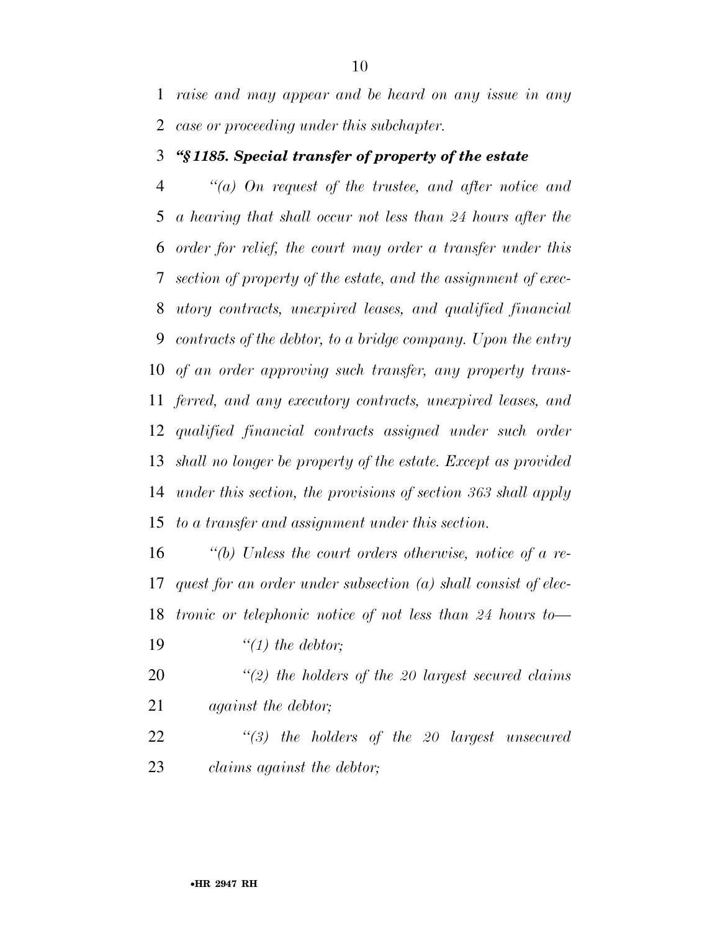*raise and may appear and be heard on any issue in any case or proceeding under this subchapter.* 

#### *''§ 1185. Special transfer of property of the estate*

 *''(a) On request of the trustee, and after notice and a hearing that shall occur not less than 24 hours after the order for relief, the court may order a transfer under this section of property of the estate, and the assignment of exec- utory contracts, unexpired leases, and qualified financial contracts of the debtor, to a bridge company. Upon the entry of an order approving such transfer, any property trans- ferred, and any executory contracts, unexpired leases, and qualified financial contracts assigned under such order shall no longer be property of the estate. Except as provided under this section, the provisions of section 363 shall apply to a transfer and assignment under this section.* 

 *''(b) Unless the court orders otherwise, notice of a re- quest for an order under subsection (a) shall consist of elec- tronic or telephonic notice of not less than 24 hours to— ''(1) the debtor;* 

- *''(2) the holders of the 20 largest secured claims against the debtor;*
- *''(3) the holders of the 20 largest unsecured claims against the debtor;*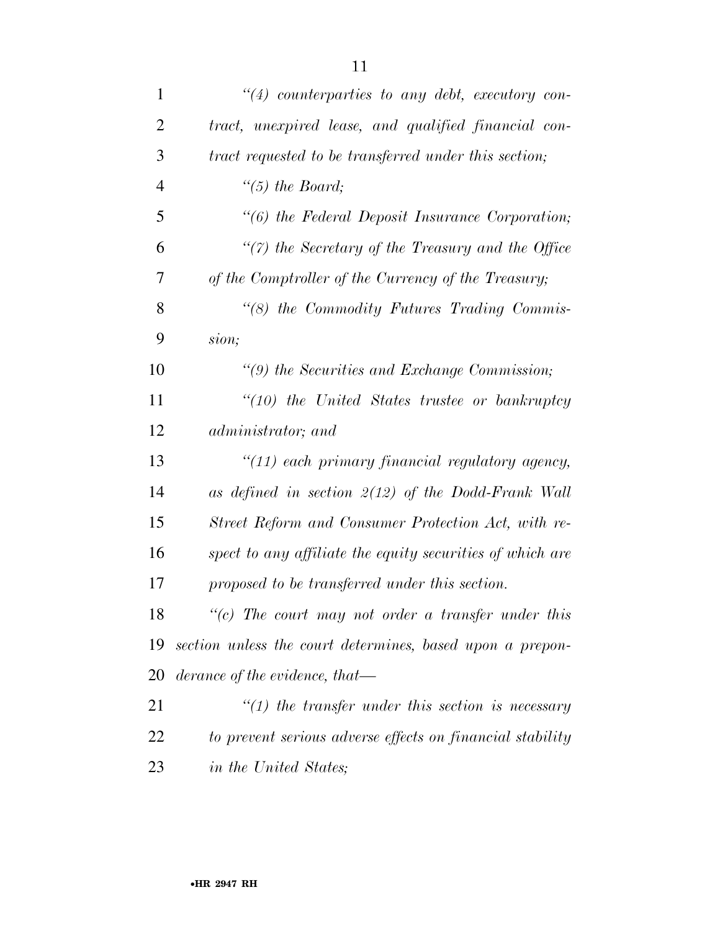| $\mathbf{1}$   | $\lq(4)$ counterparties to any debt, executory con-       |
|----------------|-----------------------------------------------------------|
| $\overline{2}$ | tract, unexpired lease, and qualified financial con-      |
| 3              | tract requested to be transferred under this section;     |
| $\overline{4}$ | "(5) the Board;                                           |
| 5              | $\lq\lq (6)$ the Federal Deposit Insurance Corporation;   |
| 6              | $\lq(7)$ the Secretary of the Treasury and the Office     |
| 7              | of the Comptroller of the Currency of the Treasury;       |
| 8              | $\lq\lq (8)$ the Commodity Futures Trading Commis-        |
| 9              | sion;                                                     |
| 10             | $\lq(9)$ the Securities and Exchange Commission;          |
| 11             | $\lq(10)$ the United States trustee or bankruptcy         |
| 12             | administrator; and                                        |
| 13             | "(11) each primary financial regulatory agency,           |
| 14             | as defined in section $2(12)$ of the Dodd-Frank Wall      |
| 15             | Street Reform and Consumer Protection Act, with re-       |
| 16             | spect to any affiliate the equity securities of which are |
| 17             | proposed to be transferred under this section.            |
| 18             | $"$ (c) The court may not order a transfer under this     |
| 19             | section unless the court determines, based upon a prepon- |
| 20             | derance of the evidence, that—                            |
| 21             | $\lq(1)$ the transfer under this section is necessary     |
| 22             | to prevent serious adverse effects on financial stability |
| 23             | in the United States;                                     |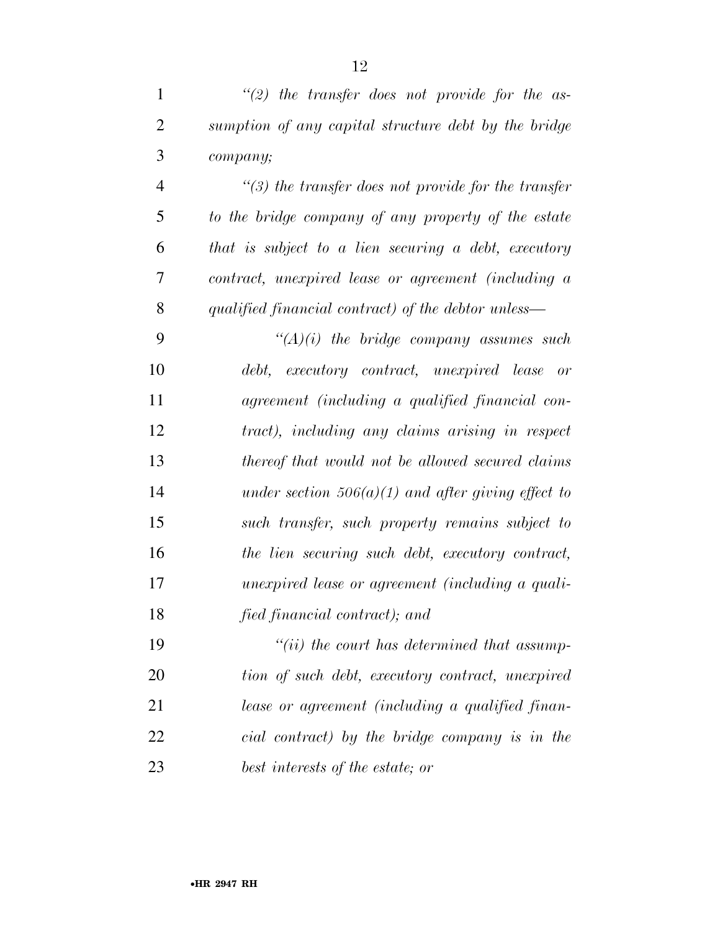|   | $\lq(2)$ the transfer does not provide for the as-      |
|---|---------------------------------------------------------|
| 2 | sumption of any capital structure debt by the bridge    |
| 3 | company;                                                |
|   | $\lq(3)$ the transfer does not provide for the transfer |
|   |                                                         |

 *to the bridge company of any property of the estate that is subject to a lien securing a debt, executory contract, unexpired lease or agreement (including a qualified financial contract) of the debtor unless—* 

 *''(A)(i) the bridge company assumes such debt, executory contract, unexpired lease or agreement (including a qualified financial con- tract), including any claims arising in respect thereof that would not be allowed secured claims under section 506(a)(1) and after giving effect to such transfer, such property remains subject to the lien securing such debt, executory contract, unexpired lease or agreement (including a quali-fied financial contract); and* 

 *''(ii) the court has determined that assump- tion of such debt, executory contract, unexpired lease or agreement (including a qualified finan- cial contract) by the bridge company is in the best interests of the estate; or*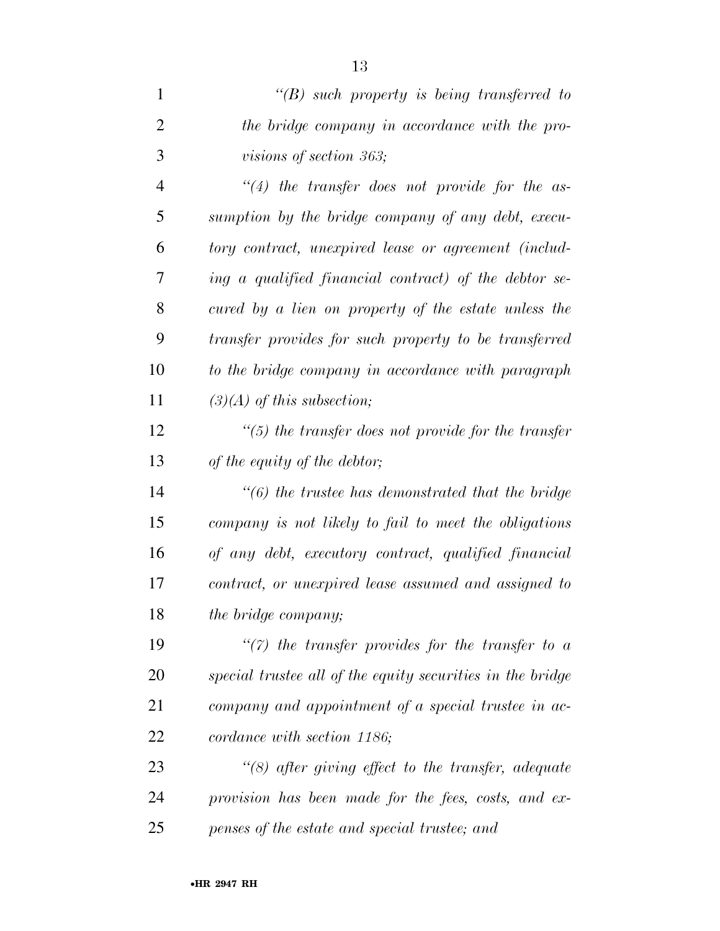|   | $\lq\lq B$ such property is being transferred to      |
|---|-------------------------------------------------------|
| 2 | the bridge company in accordance with the pro-        |
| 3 | <i>visions of section 363</i> ;                       |
| 4 | $\lq(4)$ the transfer does not provide for the as-    |
| 5 | sumption by the bridge company of any debt, execu-    |
| 6 | tory contract, unexpired lease or agreement (includ-  |
|   | ing a qualified financial contract) of the debtor se- |

 *cured by a lien on property of the estate unless the transfer provides for such property to be transferred to the bridge company in accordance with paragraph (3)(A) of this subsection;* 

 *''(5) the transfer does not provide for the transfer of the equity of the debtor;* 

 *''(6) the trustee has demonstrated that the bridge company is not likely to fail to meet the obligations of any debt, executory contract, qualified financial contract, or unexpired lease assumed and assigned to the bridge company;* 

 *''(7) the transfer provides for the transfer to a special trustee all of the equity securities in the bridge company and appointment of a special trustee in ac-cordance with section 1186;* 

 *''(8) after giving effect to the transfer, adequate provision has been made for the fees, costs, and ex-penses of the estate and special trustee; and*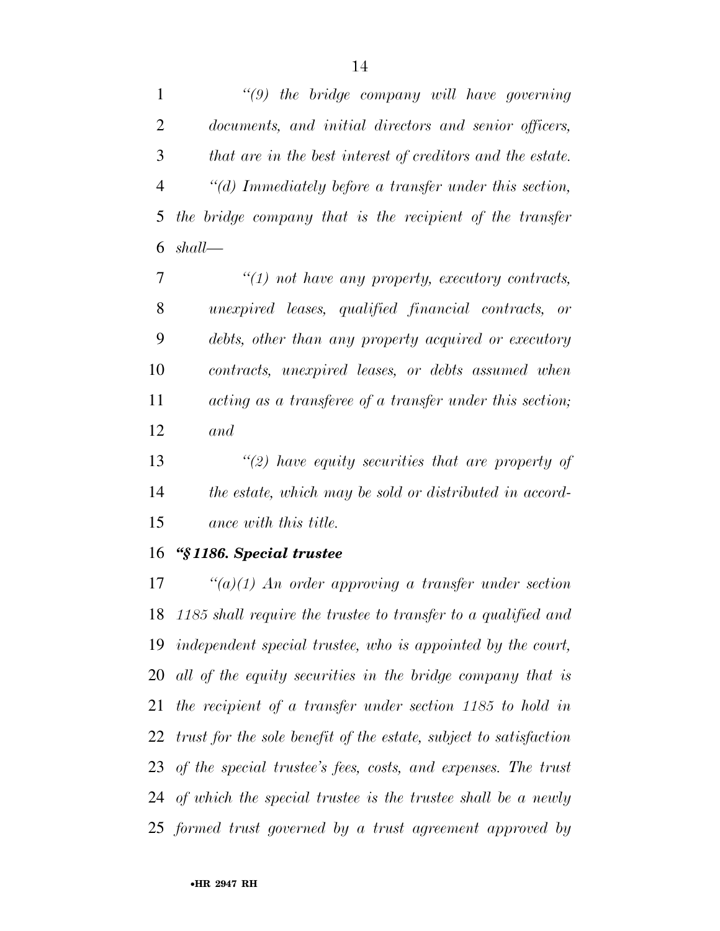*''(9) the bridge company will have governing documents, and initial directors and senior officers, that are in the best interest of creditors and the estate. ''(d) Immediately before a transfer under this section, the bridge company that is the recipient of the transfer shall—* 

 *''(1) not have any property, executory contracts, unexpired leases, qualified financial contracts, or debts, other than any property acquired or executory contracts, unexpired leases, or debts assumed when acting as a transferee of a transfer under this section; and* 

 *''(2) have equity securities that are property of the estate, which may be sold or distributed in accord-ance with this title.* 

#### *''§ 1186. Special trustee*

 *''(a)(1) An order approving a transfer under section 1185 shall require the trustee to transfer to a qualified and independent special trustee, who is appointed by the court, all of the equity securities in the bridge company that is the recipient of a transfer under section 1185 to hold in trust for the sole benefit of the estate, subject to satisfaction of the special trustee's fees, costs, and expenses. The trust of which the special trustee is the trustee shall be a newly formed trust governed by a trust agreement approved by*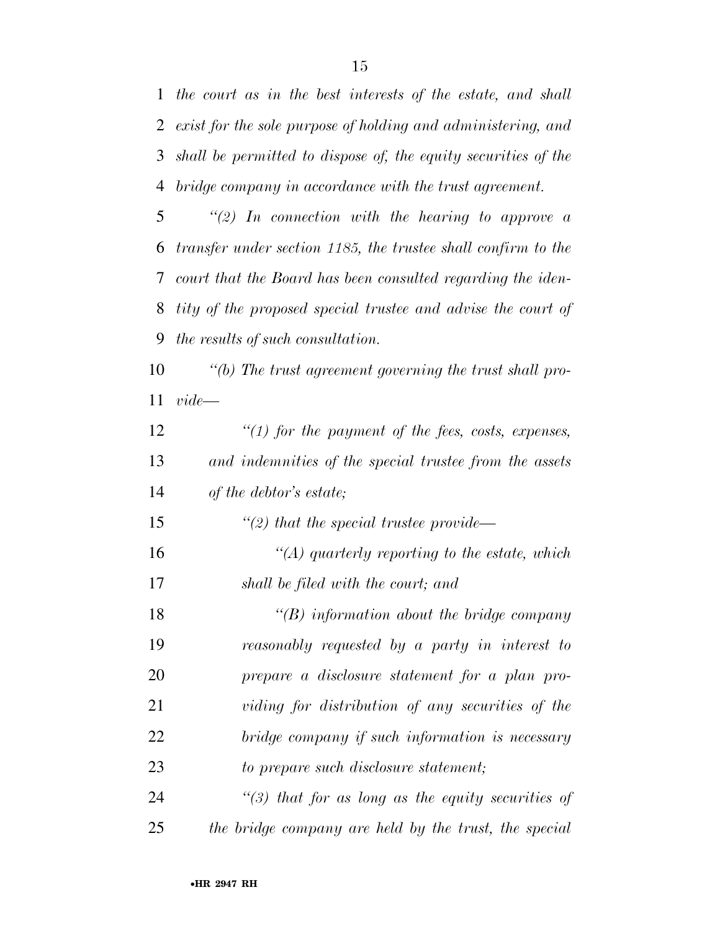*the court as in the best interests of the estate, and shall exist for the sole purpose of holding and administering, and shall be permitted to dispose of, the equity securities of the bridge company in accordance with the trust agreement.* 

 *''(2) In connection with the hearing to approve a transfer under section 1185, the trustee shall confirm to the court that the Board has been consulted regarding the iden- tity of the proposed special trustee and advise the court of the results of such consultation.* 

 *''(b) The trust agreement governing the trust shall pro-vide—* 

 *''(1) for the payment of the fees, costs, expenses, and indemnities of the special trustee from the assets of the debtor's estate;* 

 *''(2) that the special trustee provide— ''(A) quarterly reporting to the estate, which* 

*shall be filed with the court; and* 

 *''(B) information about the bridge company reasonably requested by a party in interest to prepare a disclosure statement for a plan pro- viding for distribution of any securities of the bridge company if such information is necessary to prepare such disclosure statement;* 

 *''(3) that for as long as the equity securities of the bridge company are held by the trust, the special*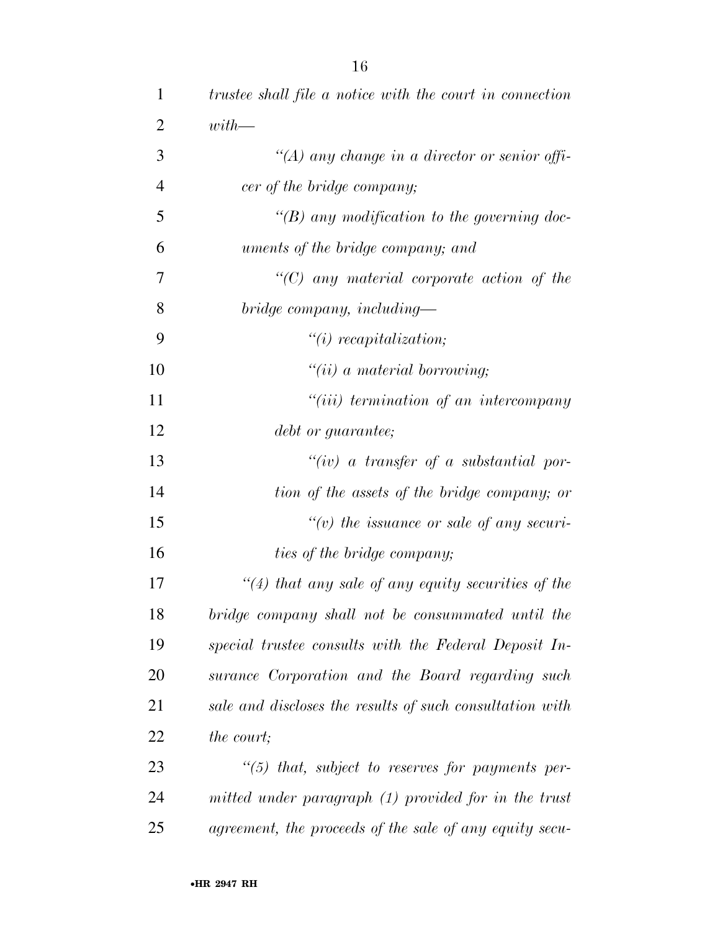| $\mathbf{1}$   | trustee shall file a notice with the court in connection |
|----------------|----------------------------------------------------------|
| $\overline{2}$ | $with$ —                                                 |
| 3              | "(A) any change in a director or senior offi-            |
| $\overline{4}$ | cer of the bridge company;                               |
| 5              | "(B) any modification to the governing doc-              |
| 6              | uments of the bridge company; and                        |
| 7              | $"$ (C) any material corporate action of the             |
| 8              | bridge company, including—                               |
| 9              | $"(i)$ recapitalization;                                 |
| 10             | $"(ii)$ a material borrowing;                            |
| 11             | $``(iii)$ termination of an intercompany                 |
| 12             | debt or guarantee;                                       |
| 13             | $``(iv)$ a transfer of a substantial por-                |
| 14             | tion of the assets of the bridge company; or             |
| 15             | " $(v)$ the issuance or sale of any securi-              |
| 16             | ties of the bridge company;                              |
| 17             | $\lq(4)$ that any sale of any equity securities of the   |
| 18             | bridge company shall not be consummated until the        |
| 19             | special trustee consults with the Federal Deposit In-    |
| 20             | surance Corporation and the Board regarding such         |
| 21             | sale and discloses the results of such consultation with |
| 22             | the court;                                               |
| 23             | $\lq(5)$ that, subject to reserves for payments per-     |
| 24             | mitted under paragraph (1) provided for in the trust     |
| 25             | agreement, the proceeds of the sale of any equity secu-  |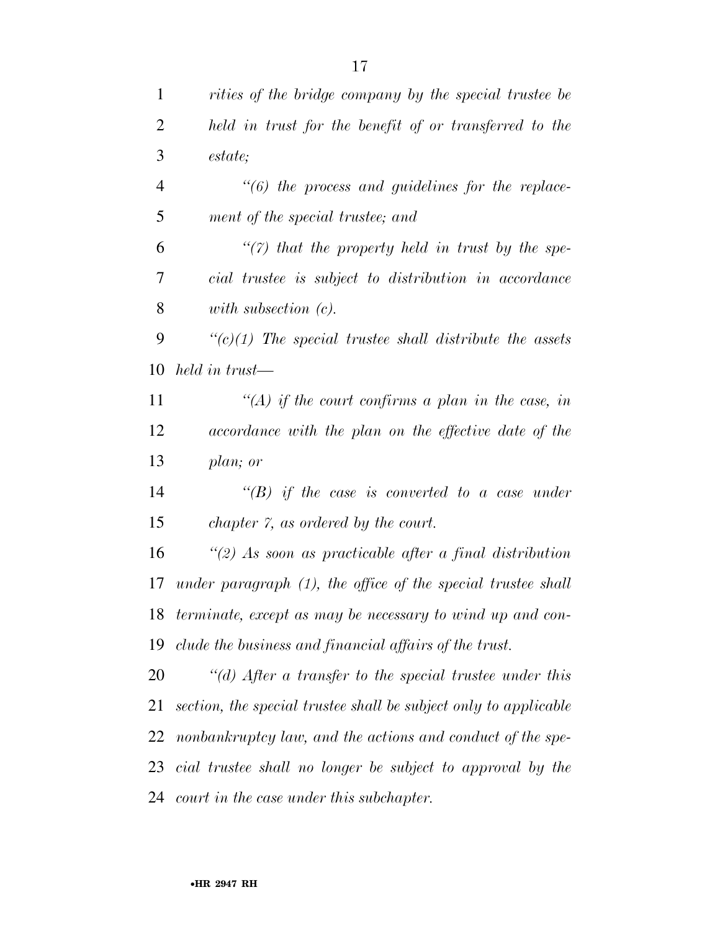| $\mathbf{1}$ | rities of the bridge company by the special trustee be           |
|--------------|------------------------------------------------------------------|
| 2            | held in trust for the benefit of or transferred to the           |
| 3            | estate;                                                          |
| 4            | $\lq(6)$ the process and guidelines for the replace-             |
| 5            | ment of the special trustee; and                                 |
| 6            | $\lq(7)$ that the property held in trust by the spe-             |
| 7            | cial trustee is subject to distribution in accordance            |
| 8            | with subsection $(c)$ .                                          |
| 9            | $\lq\lq(c)(1)$ The special trustee shall distribute the assets   |
| 10           | held in trust—                                                   |
| 11           | $\lq (A)$ if the court confirms a plan in the case, in           |
| 12           | accordance with the plan on the effective date of the            |
| 13           | plan; or                                                         |
| 14           | $\lq\lq(B)$ if the case is converted to a case under             |
| 15           | chapter 7, as ordered by the court.                              |
| 16           | $\lq(2)$ As soon as practicable after a final distribution       |
| 17           | under paragraph $(1)$ , the office of the special trustee shall  |
| 18           | terminate, except as may be necessary to wind up and con-        |
| 19           | clude the business and financial affairs of the trust.           |
| 20           | "(d) After a transfer to the special trustee under this          |
| 21           | section, the special trustee shall be subject only to applicable |
| 22           | nonbankruptcy law, and the actions and conduct of the spe-       |
| 23           | cial trustee shall no longer be subject to approval by the       |
| 24           | court in the case under this subchapter.                         |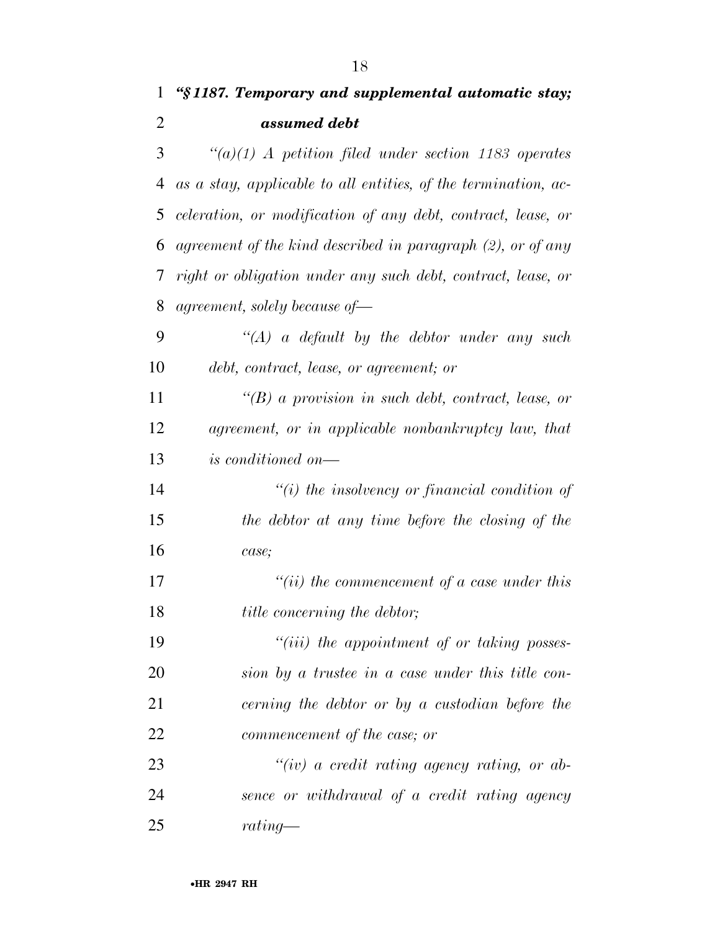|               | 1 "§1187. Temporary and supplemental automatic stay;     |
|---------------|----------------------------------------------------------|
|               | assumed debt                                             |
| $\mathcal{R}$ | $\lq(a)(1)$ A petition filed under section 1183 operates |

 *as a stay, applicable to all entities, of the termination, ac- celeration, or modification of any debt, contract, lease, or agreement of the kind described in paragraph (2), or of any right or obligation under any such debt, contract, lease, or agreement, solely because of—* 

 *''(A) a default by the debtor under any such debt, contract, lease, or agreement; or* 

 *''(B) a provision in such debt, contract, lease, or agreement, or in applicable nonbankruptcy law, that is conditioned on—* 

 *''(i) the insolvency or financial condition of the debtor at any time before the closing of the case;* 

 *''(ii) the commencement of a case under this title concerning the debtor;* 

 *''(iii) the appointment of or taking posses- sion by a trustee in a case under this title con- cerning the debtor or by a custodian before the commencement of the case; or* 

 *''(iv) a credit rating agency rating, or ab- sence or withdrawal of a credit rating agency rating—*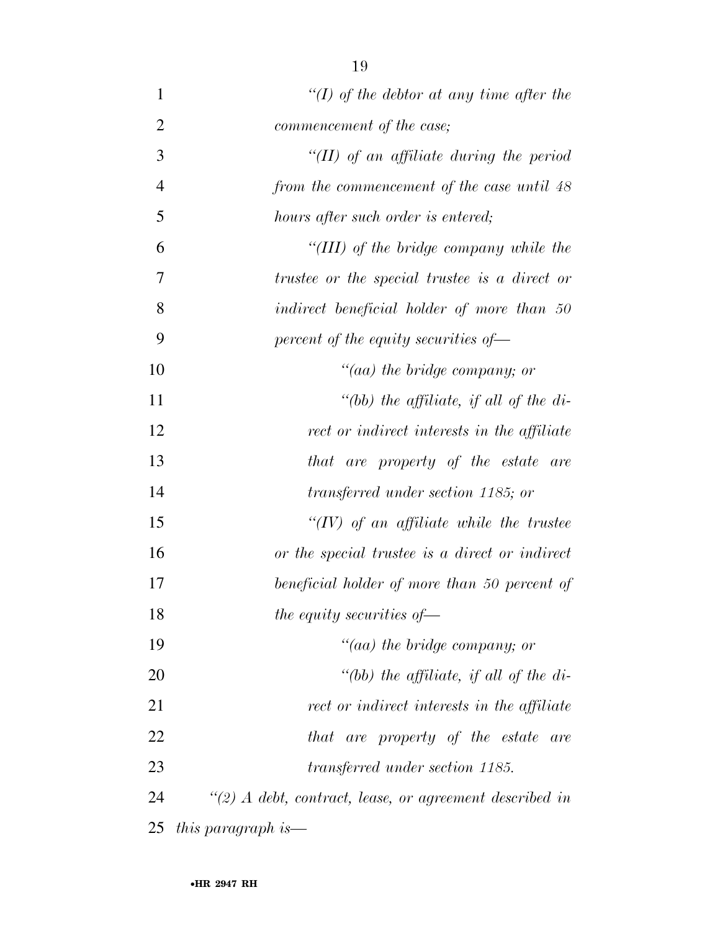| $\mathbf{1}$   | "(I) of the debtor at any time after the                    |
|----------------|-------------------------------------------------------------|
| $\overline{2}$ | commencement of the case;                                   |
| 3              | "(II) of an affiliate during the period                     |
| $\overline{4}$ | from the commencement of the case until 48                  |
| 5              | hours after such order is entered;                          |
| 6              | "(III) of the bridge company while the                      |
| 7              | trustee or the special trustee is a direct or               |
| 8              | indirect beneficial holder of more than 50                  |
| 9              | percent of the equity securities of $-$                     |
| 10             | "(aa) the bridge company; or                                |
| 11             | "(bb) the affiliate, if all of the di-                      |
| 12             | rect or indirect interests in the affiliate                 |
| 13             | that are property of the estate are                         |
| 14             | transferred under section 1185; or                          |
| 15             | " $(IV)$ of an affiliate while the trustee                  |
| 16             | or the special trustee is a direct or indirect              |
| 17             | beneficial holder of more than 50 percent of                |
| 18             | the equity securities of $-$                                |
| 19             | $"(aa)$ the bridge company; or                              |
| 20             | "(bb) the affiliate, if all of the di-                      |
| 21             | rect or indirect interests in the affiliate                 |
| 22             | that are property of the estate are                         |
| 23             | <i>transferred under section 1185.</i>                      |
| 24             | $\lq(2)$ A debt, contract, lease, or agreement described in |
| 25             | this paragraph is—                                          |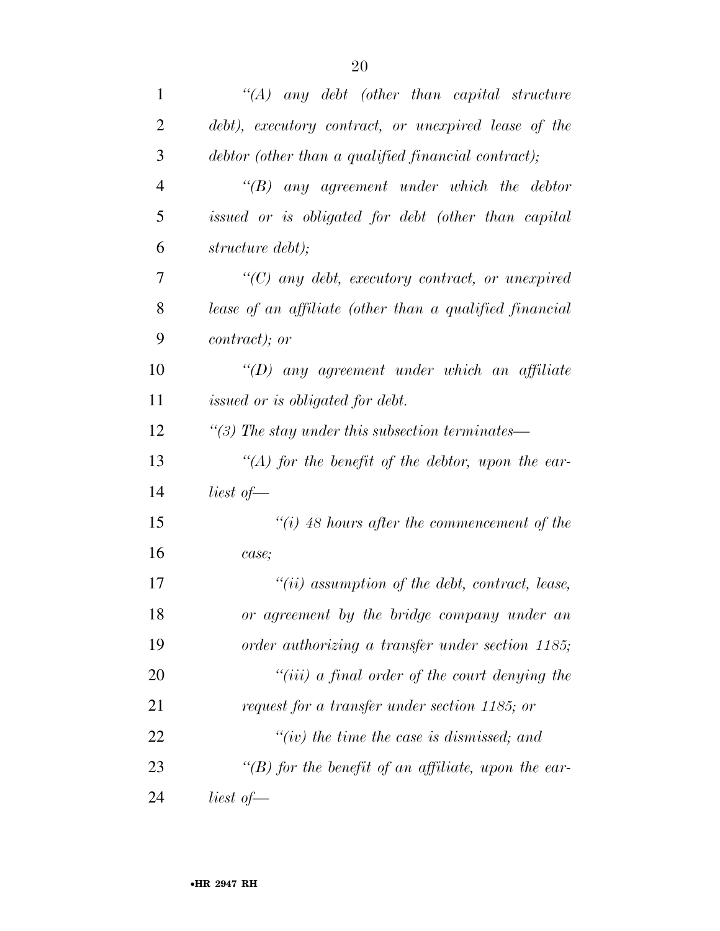| $\mathbf{1}$   | $\lq (A)$ any debt (other than capital structure)       |
|----------------|---------------------------------------------------------|
| 2              | debt), executory contract, or unexpired lease of the    |
| 3              | debtor (other than a qualified financial contract);     |
| $\overline{4}$ | $\lq\lq B$ any agreement under which the debtor         |
| 5              | issued or is obligated for debt (other than capital     |
| 6              | structure debt);                                        |
| 7              | $\lq(C)$ any debt, executory contract, or unexpired     |
| 8              | lease of an affiliate (other than a qualified financial |
| 9              | <i>contract</i> ); or                                   |
| 10             | $\lq (D)$ any agreement under which an affiliate        |
| 11             | issued or is obligated for debt.                        |
| 12             | "(3) The stay under this subsection terminates—         |
| 13             | $\lq (A)$ for the benefit of the debtor, upon the ear-  |
| 14             | liest of $-$                                            |
| 15             | "(i) 48 hours after the commencement of the             |
| 16             | case;                                                   |
| 17             | $"(ii)$ assumption of the debt, contract, lease,        |
| 18             | or agreement by the bridge company under an             |
| 19             | order authorizing a transfer under section 1185;        |
| 20             | $``(iii)$ a final order of the court denying the        |
| 21             | request for a transfer under section 1185; or           |
| 22             | "(iv) the time the case is dismissed; and               |
| 23             | "(B) for the benefit of an affiliate, upon the ear-     |
| 24             | liest of $-$                                            |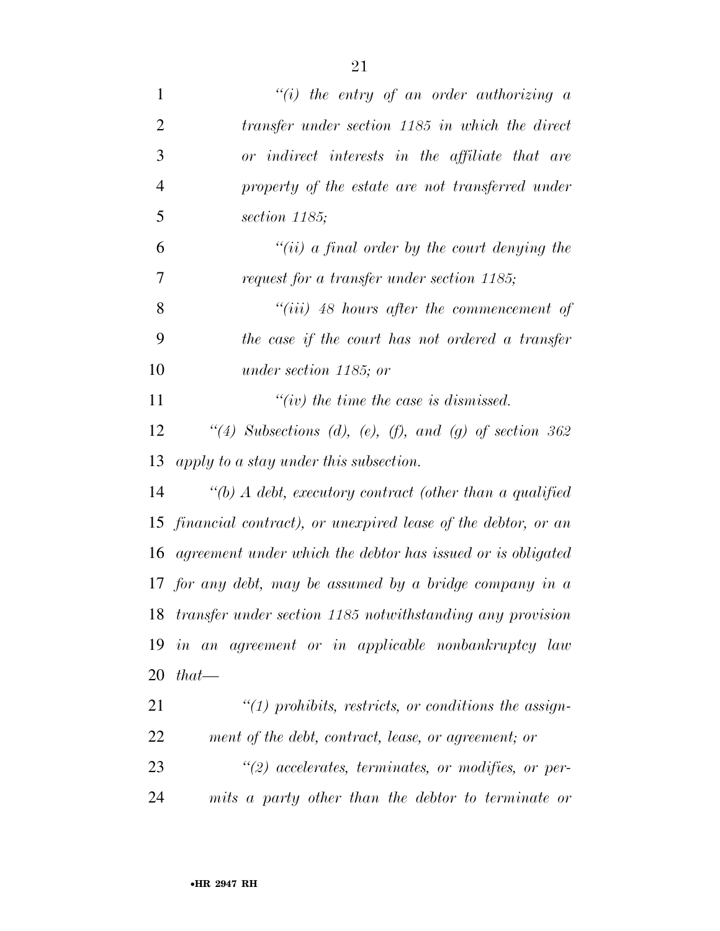| $\mathbf{1}$   | "(i) the entry of an order authorizing $a$                      |
|----------------|-----------------------------------------------------------------|
| $\overline{2}$ | transfer under section 1185 in which the direct                 |
| 3              | or indirect interests in the affiliate that are                 |
| $\overline{4}$ | property of the estate are not transferred under                |
| 5              | section 1185;                                                   |
| 6              | "(ii) a final order by the court denying the                    |
| 7              | request for a transfer under section 1185;                      |
| 8              | $``(iii)$ 48 hours after the commencement of                    |
| 9              | the case if the court has not ordered a transfer                |
| 10             | under section 1185; or                                          |
| 11             | $``(iv)$ the time the case is dismissed.                        |
| 12             | "(4) Subsections (d), (e), (f), and (g) of section $362$        |
| 13             | apply to a stay under this subsection.                          |
| 14             | "(b) $\Lambda$ debt, executory contract (other than a qualified |
| 15             | financial contract), or unexpired lease of the debtor, or an    |
| 16             | agreement under which the debtor has issued or is obligated     |
|                | 17 for any debt, may be assumed by a bridge company in $\alpha$ |
|                | 18 transfer under section 1185 notwithstanding any provision    |
| 19             | in an agreement or in applicable nonbankruptcy law              |
| 20             | $that$ —                                                        |
| 21             | $\lq(1)$ prohibits, restricts, or conditions the assign-        |
| 22             | ment of the debt, contract, lease, or agreement; or             |
| 23             | $\lq(2)$ accelerates, terminates, or modifies, or per-          |
| 24             | mits a party other than the debtor to terminate or              |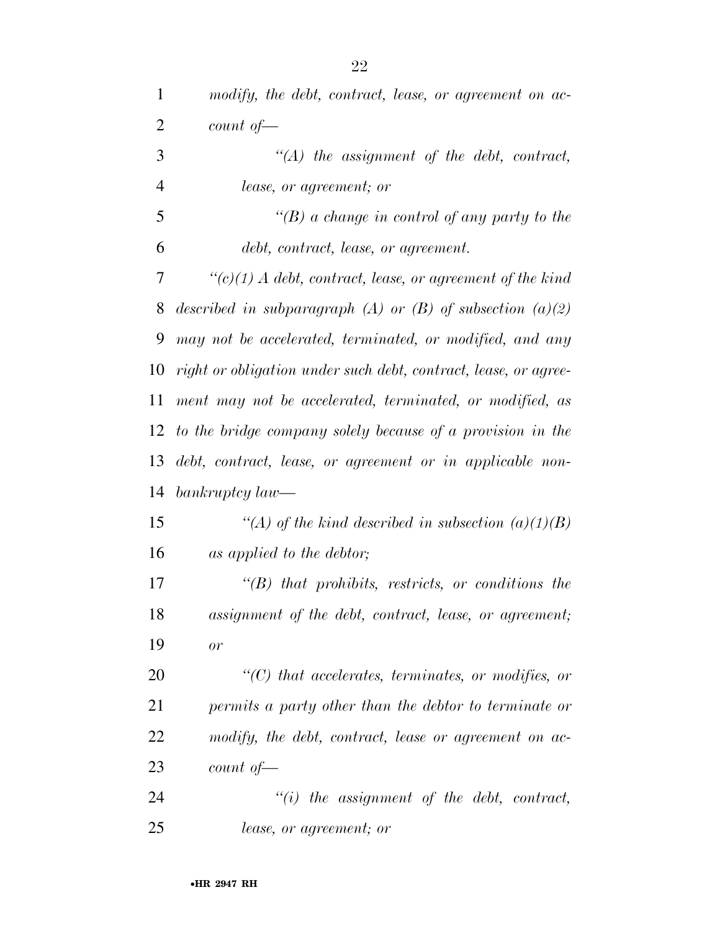| $\mathbf{1}$   | modify, the debt, contract, lease, or agreement on ac-               |
|----------------|----------------------------------------------------------------------|
| $\overline{2}$ | count of                                                             |
| 3              | $\lq (A)$ the assignment of the debt, contract,                      |
| $\overline{4}$ | <i>lease, or agreement; or</i>                                       |
| 5              | "(B) a change in control of any party to the                         |
| 6              | debt, contract, lease, or agreement.                                 |
| 7              | $\lq\lq (c)(1)$ A debt, contract, lease, or agreement of the kind    |
| 8              | described in subparagraph (A) or (B) of subsection $(a)(2)$          |
| 9              | may not be accelerated, terminated, or modified, and any             |
| 10             | right or obligation under such debt, contract, lease, or agree-      |
| 11             | ment may not be accelerated, terminated, or modified, as             |
| 12             | to the bridge company solely because of a provision in the           |
| 13             | debt, contract, lease, or agreement or in applicable non-            |
| 14             | $bankruptcy law$ —                                                   |
| 15             | "(A) of the kind described in subsection $(a)(1)(B)$                 |
| 16             | as applied to the debtor;                                            |
| 17             | $\lq\lq B$ that prohibits, restricts, or conditions the              |
| 18             | assignment of the debt, contract, lease, or agreement;               |
| 19             | or                                                                   |
| 20             | $\lq$ <sup>"</sup> (C) that accelerates, terminates, or modifies, or |
| 21             | permits a party other than the debtor to terminate or                |
| 22             | modify, the debt, contract, lease or agreement on ac-                |
| 23             | count of                                                             |
| 24             | $"(i)$ the assignment of the debt, contract,                         |
|                |                                                                      |

*lease, or agreement; or*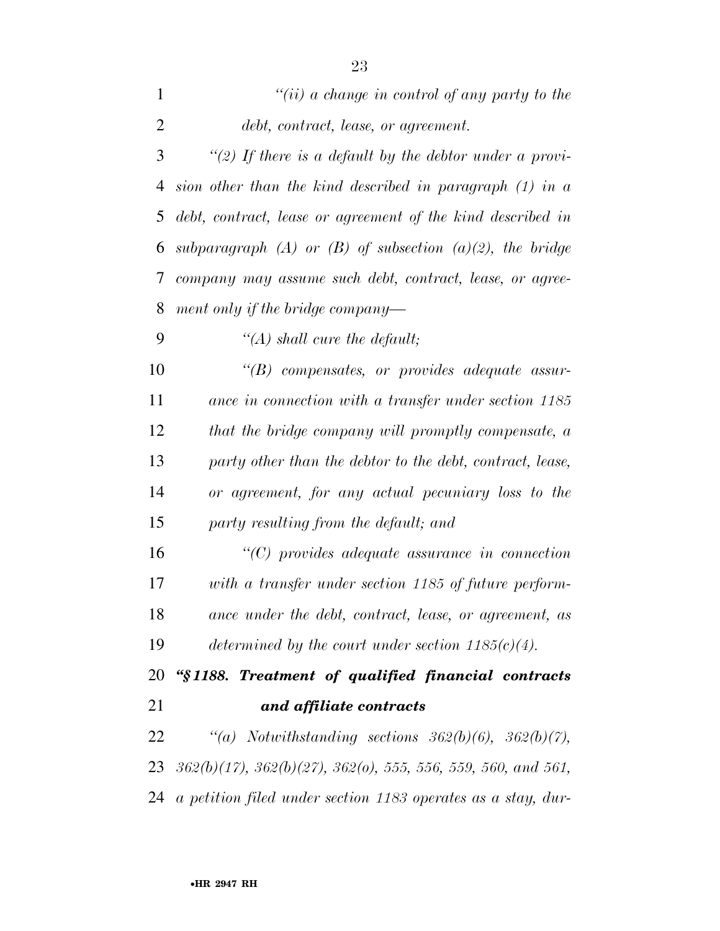| $\mathbf{1}$ | "(ii) a change in control of any party to the                                        |
|--------------|--------------------------------------------------------------------------------------|
| 2            | debt, contract, lease, or agreement.                                                 |
| 3            | "(2) If there is a default by the debtor under a provi-                              |
| 4            | sion other than the kind described in paragraph $(1)$ in a                           |
| 5            | debt, contract, lease or agreement of the kind described in                          |
| 6            | subparagraph (A) or (B) of subsection (a)(2), the bridge                             |
| 7            | company may assume such debt, contract, lease, or agree-                             |
| 8            | ment only if the bridge company—                                                     |
| 9            | "(A) shall cure the default;                                                         |
| 10           | $\lq\lq B$ compensates, or provides adequate assur-                                  |
| 11           | ance in connection with a transfer under section 1185                                |
| 12           | that the bridge company will promptly compensate, a                                  |
| 13           | party other than the debtor to the debt, contract, lease,                            |
| 14           | or agreement, for any actual pecuniary loss to the                                   |
| 15           | party resulting from the default; and                                                |
| 16           | $"$ (C) provides adequate assurance in connection                                    |
| 17           | with a transfer under section 1185 of future perform-                                |
| 18           | ance under the debt, contract, lease, or agreement, as                               |
| 19           | determined by the court under section $1185(c)(4)$ .                                 |
| 20           | "§1188. Treatment of qualified financial contracts                                   |
| 21           | and affiliate contracts                                                              |
| 22           | "(a) Notwithstanding sections $362(b)(6)$ , $362(b)(7)$ ,                            |
| 23           | $362(b)(17)$ , $362(b)(27)$ , $362(b)$ , $555$ , $556$ , $559$ , $560$ , and $561$ , |
| 24           | a petition filed under section 1183 operates as a stay, dur-                         |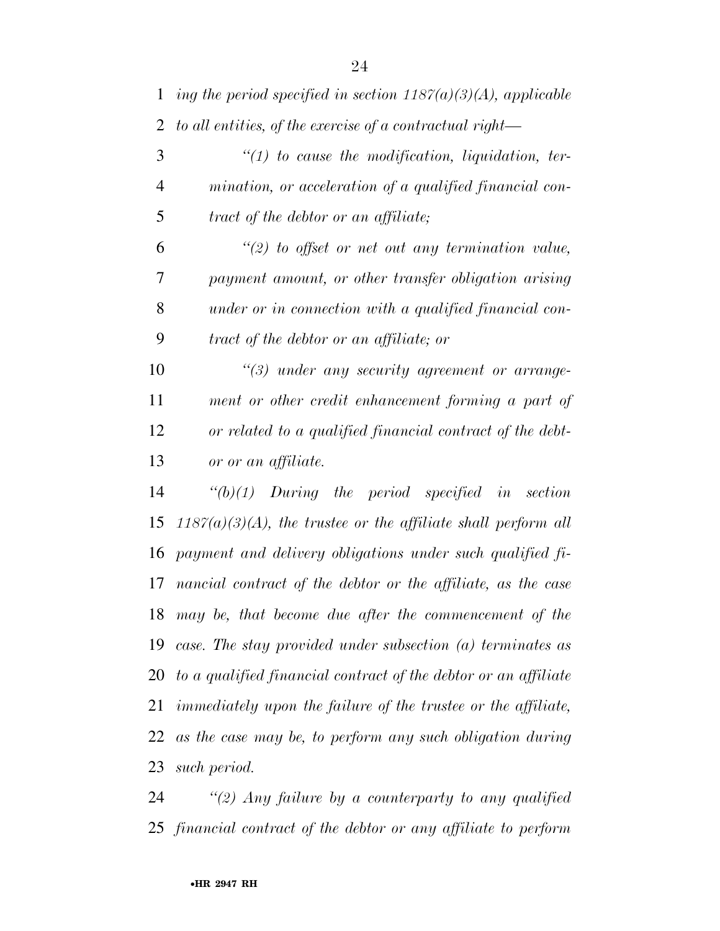| $\mathbf{1}$   | ing the period specified in section $1187(a)(3)(A)$ , applicable     |
|----------------|----------------------------------------------------------------------|
| $\overline{2}$ | to all entities, of the exercise of a contractual right-             |
| 3              | $\lq(1)$ to cause the modification, liquidation, ter-                |
| $\overline{4}$ | mination, or acceleration of a qualified financial con-              |
| 5              | tract of the debtor or an affiliate;                                 |
| 6              | $\lq(2)$ to offset or net out any termination value,                 |
| 7              | payment amount, or other transfer obligation arising                 |
| 8              | under or in connection with a qualified financial con-               |
| 9              | tract of the debtor or an affiliate; or                              |
| 10             | $\lq(3)$ under any security agreement or arrange-                    |
| 11             | ment or other credit enhancement forming a part of                   |
| 12             | or related to a qualified financial contract of the debt-            |
| 13             | or or an affiliate.                                                  |
| 14             | $\lq\lq(b)(1)$ During the period specified in<br>section             |
| 15             | $1187(a)(3)(A)$ , the trustee or the affiliate shall perform all     |
| 16             | payment and delivery obligations under such qualified fi-            |
| 17             | nancial contract of the debtor or the affiliate, as the case         |
|                | 18 may be, that become due after the commencement of the             |
|                | 19 case. The stay provided under subsection (a) terminates as        |
|                | 20 to a qualified financial contract of the debtor or an affiliate   |
| 21             | <i>immediately upon the failure of the trustee or the affiliate,</i> |
| 22             | as the case may be, to perform any such obligation during            |
| 23             | such period.                                                         |

 *''(2) Any failure by a counterparty to any qualified financial contract of the debtor or any affiliate to perform*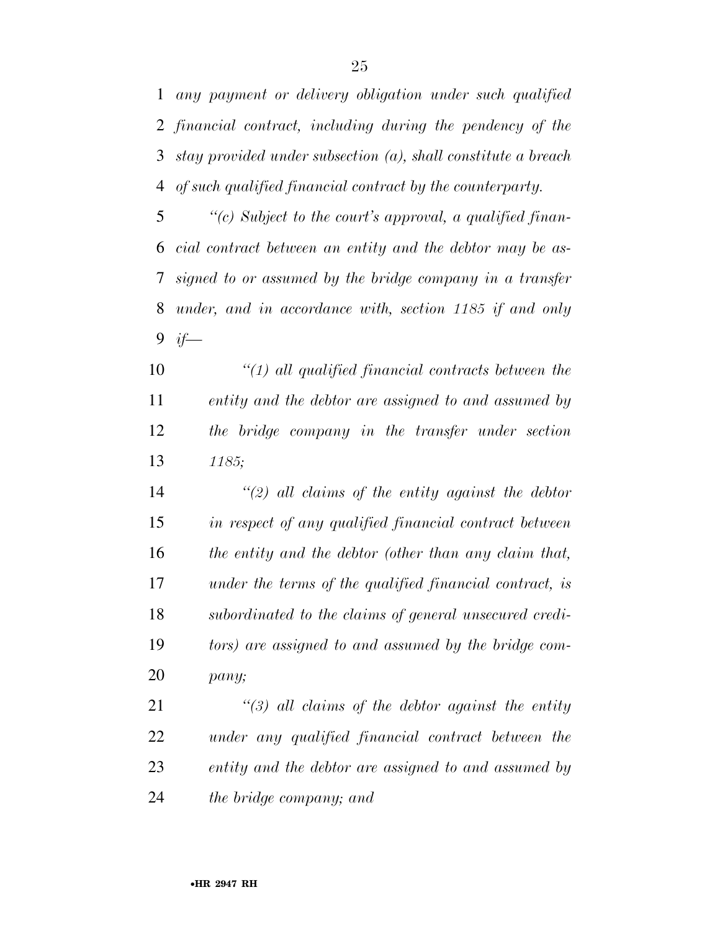*any payment or delivery obligation under such qualified financial contract, including during the pendency of the stay provided under subsection (a), shall constitute a breach* 

*of such qualified financial contract by the counterparty.* 

 *''(c) Subject to the court's approval, a qualified finan- cial contract between an entity and the debtor may be as- signed to or assumed by the bridge company in a transfer under, and in accordance with, section 1185 if and only if—* 

 *''(1) all qualified financial contracts between the entity and the debtor are assigned to and assumed by the bridge company in the transfer under section 1185;* 

 *''(2) all claims of the entity against the debtor in respect of any qualified financial contract between the entity and the debtor (other than any claim that, under the terms of the qualified financial contract, is subordinated to the claims of general unsecured credi- tors) are assigned to and assumed by the bridge com-pany;* 

 *''(3) all claims of the debtor against the entity under any qualified financial contract between the entity and the debtor are assigned to and assumed by the bridge company; and*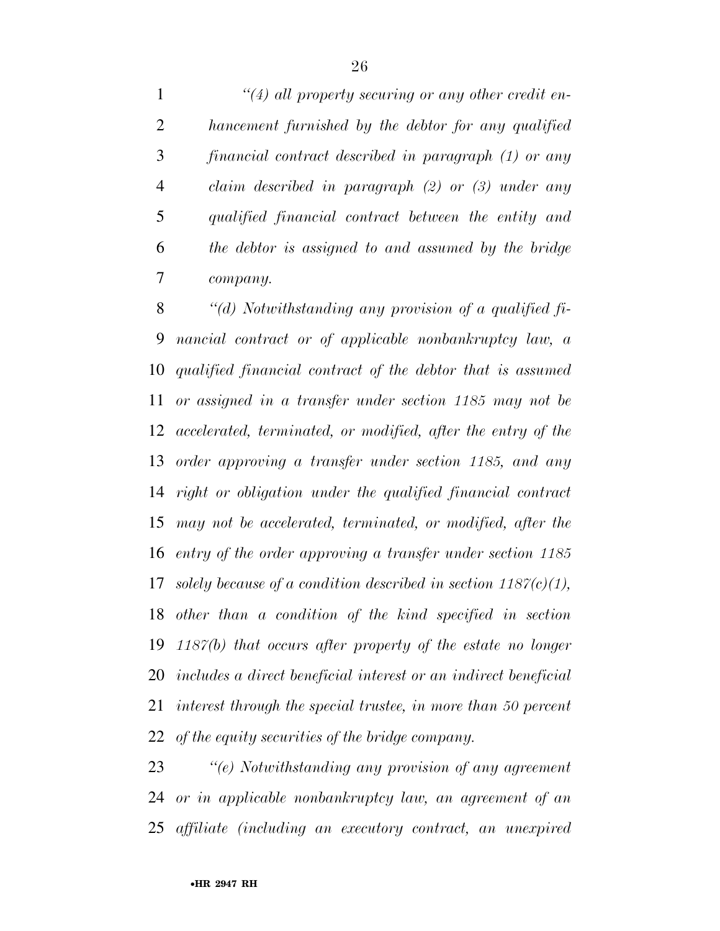*''(4) all property securing or any other credit en- hancement furnished by the debtor for any qualified financial contract described in paragraph (1) or any claim described in paragraph (2) or (3) under any qualified financial contract between the entity and the debtor is assigned to and assumed by the bridge company.* 

 *''(d) Notwithstanding any provision of a qualified fi- nancial contract or of applicable nonbankruptcy law, a qualified financial contract of the debtor that is assumed or assigned in a transfer under section 1185 may not be accelerated, terminated, or modified, after the entry of the order approving a transfer under section 1185, and any right or obligation under the qualified financial contract may not be accelerated, terminated, or modified, after the entry of the order approving a transfer under section 1185 solely because of a condition described in section 1187(c)(1), other than a condition of the kind specified in section 1187(b) that occurs after property of the estate no longer includes a direct beneficial interest or an indirect beneficial interest through the special trustee, in more than 50 percent of the equity securities of the bridge company.* 

 *''(e) Notwithstanding any provision of any agreement or in applicable nonbankruptcy law, an agreement of an affiliate (including an executory contract, an unexpired*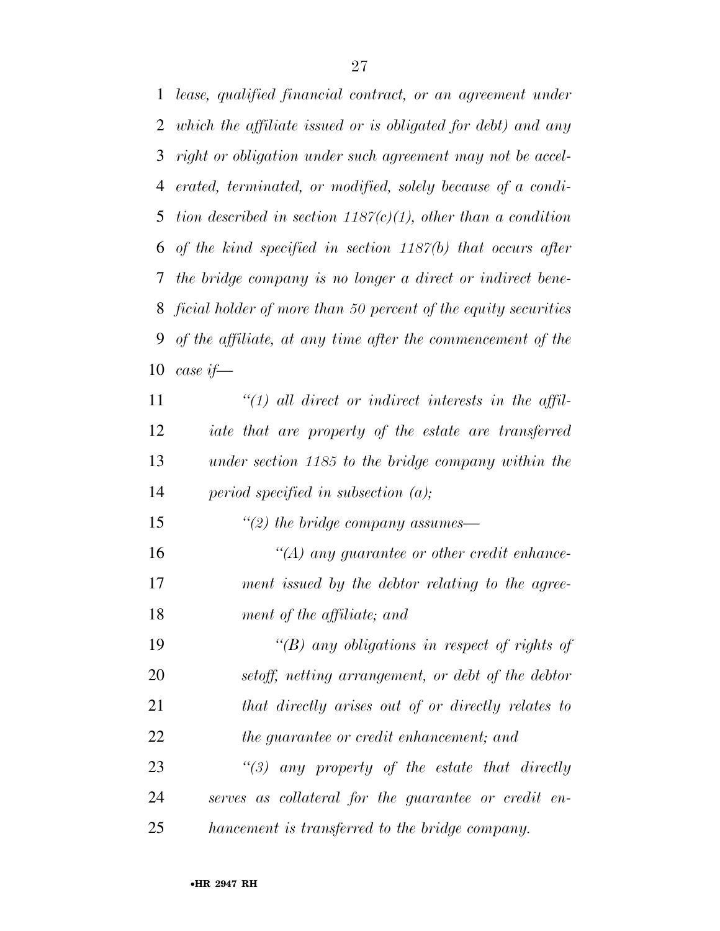*lease, qualified financial contract, or an agreement under which the affiliate issued or is obligated for debt) and any right or obligation under such agreement may not be accel- erated, terminated, or modified, solely because of a condi- tion described in section 1187(c)(1), other than a condition of the kind specified in section 1187(b) that occurs after the bridge company is no longer a direct or indirect bene- ficial holder of more than 50 percent of the equity securities of the affiliate, at any time after the commencement of the case if—* 

 *''(1) all direct or indirect interests in the affil- iate that are property of the estate are transferred under section 1185 to the bridge company within the period specified in subsection (a);* 

 *''(A) any guarantee or other credit enhance- ment issued by the debtor relating to the agree-ment of the affiliate; and* 

*''(2) the bridge company assumes—* 

 *''(B) any obligations in respect of rights of setoff, netting arrangement, or debt of the debtor that directly arises out of or directly relates to the guarantee or credit enhancement; and* 

 *''(3) any property of the estate that directly serves as collateral for the guarantee or credit en-hancement is transferred to the bridge company.*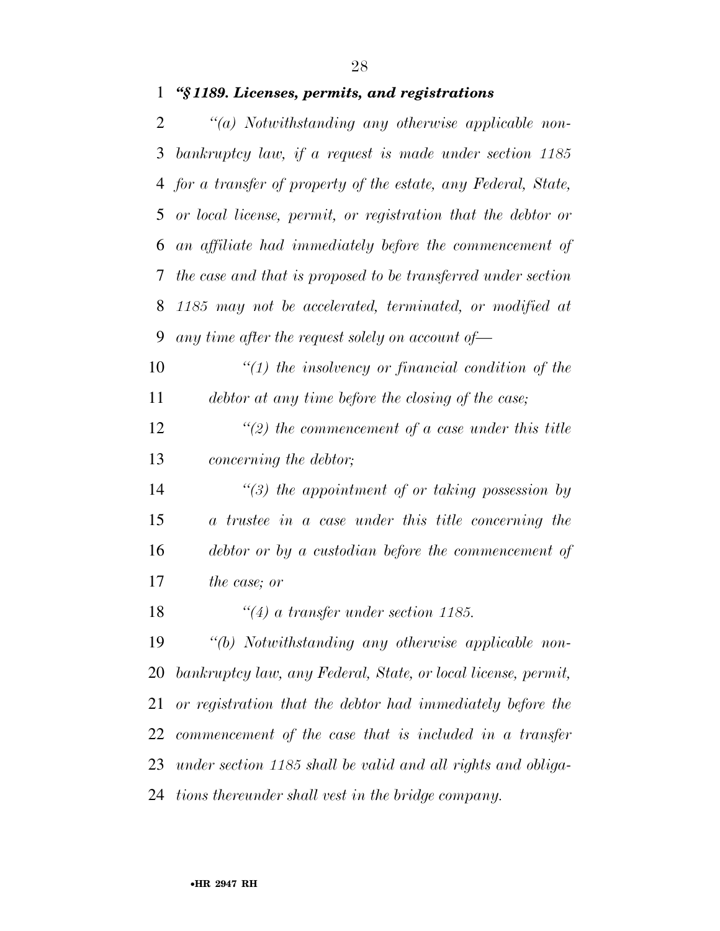#### *''§ 1189. Licenses, permits, and registrations*

 *''(a) Notwithstanding any otherwise applicable non- bankruptcy law, if a request is made under section 1185 for a transfer of property of the estate, any Federal, State, or local license, permit, or registration that the debtor or an affiliate had immediately before the commencement of the case and that is proposed to be transferred under section 1185 may not be accelerated, terminated, or modified at any time after the request solely on account of—* 

 *''(1) the insolvency or financial condition of the debtor at any time before the closing of the case;* 

 *''(2) the commencement of a case under this title concerning the debtor;* 

 *''(3) the appointment of or taking possession by a trustee in a case under this title concerning the debtor or by a custodian before the commencement of the case; or* 

*''(4) a transfer under section 1185.* 

 *''(b) Notwithstanding any otherwise applicable non- bankruptcy law, any Federal, State, or local license, permit, or registration that the debtor had immediately before the commencement of the case that is included in a transfer under section 1185 shall be valid and all rights and obliga-tions thereunder shall vest in the bridge company.*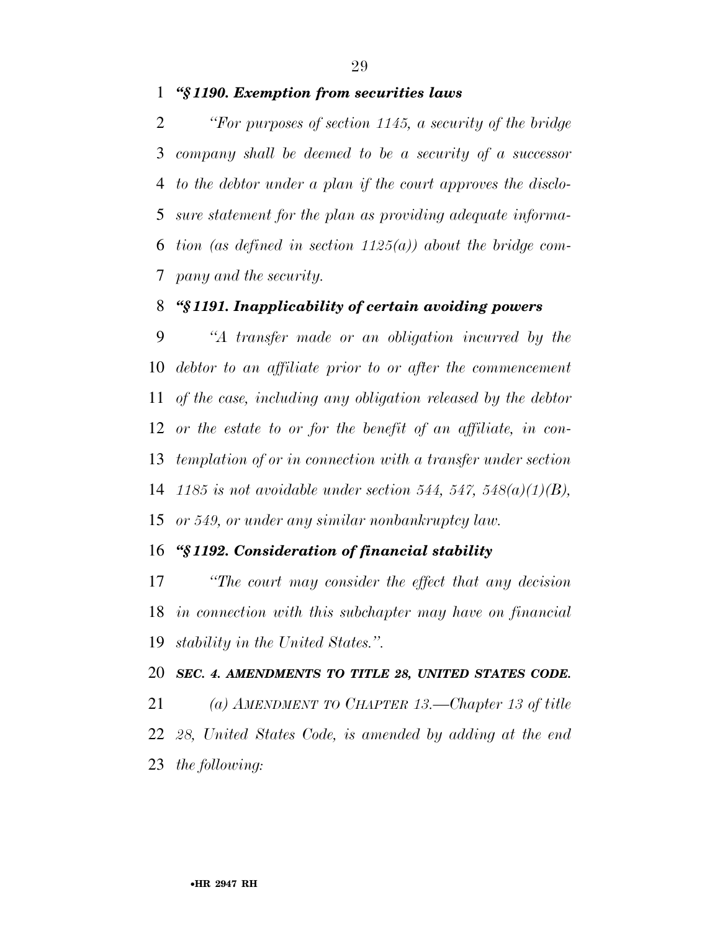*''§ 1190. Exemption from securities laws* 

 *''For purposes of section 1145, a security of the bridge company shall be deemed to be a security of a successor to the debtor under a plan if the court approves the disclo- sure statement for the plan as providing adequate informa- tion (as defined in section 1125(a)) about the bridge com-pany and the security.* 

## *''§ 1191. Inapplicability of certain avoiding powers*

 *''A transfer made or an obligation incurred by the debtor to an affiliate prior to or after the commencement of the case, including any obligation released by the debtor or the estate to or for the benefit of an affiliate, in con- templation of or in connection with a transfer under section 1185 is not avoidable under section 544, 547, 548(a)(1)(B), or 549, or under any similar nonbankruptcy law.* 

## *''§ 1192. Consideration of financial stability*

 *''The court may consider the effect that any decision in connection with this subchapter may have on financial stability in the United States.''.* 

#### *SEC. 4. AMENDMENTS TO TITLE 28, UNITED STATES CODE.*

 *(a) AMENDMENT TO CHAPTER 13.—Chapter 13 of title 28, United States Code, is amended by adding at the end the following:*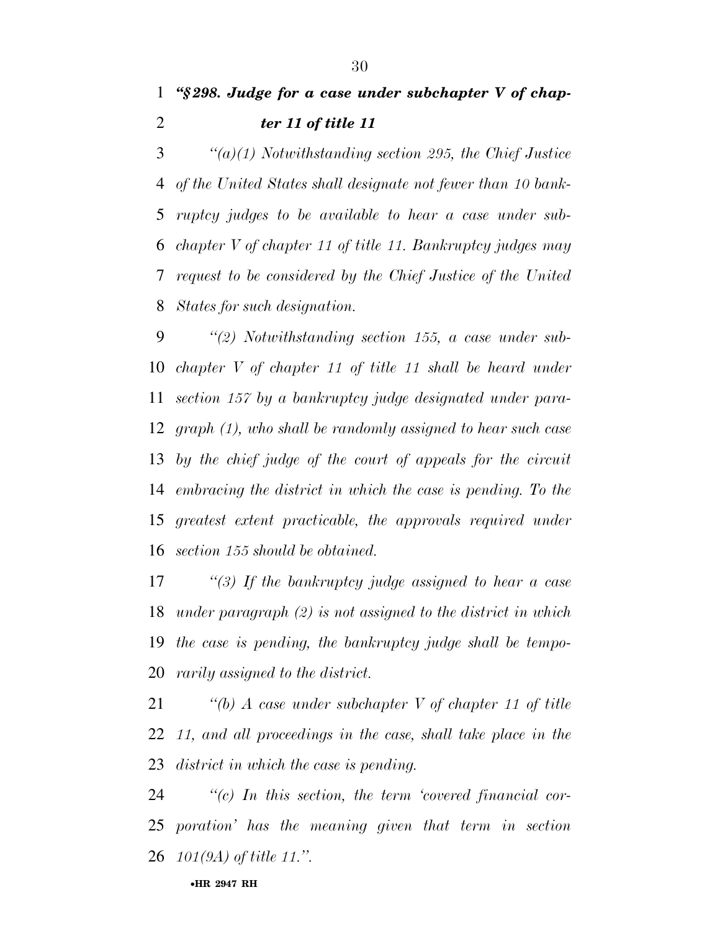*''(a)(1) Notwithstanding section 295, the Chief Justice of the United States shall designate not fewer than 10 bank- ruptcy judges to be available to hear a case under sub- chapter V of chapter 11 of title 11. Bankruptcy judges may request to be considered by the Chief Justice of the United States for such designation.* 

 *''(2) Notwithstanding section 155, a case under sub- chapter V of chapter 11 of title 11 shall be heard under section 157 by a bankruptcy judge designated under para- graph (1), who shall be randomly assigned to hear such case by the chief judge of the court of appeals for the circuit embracing the district in which the case is pending. To the greatest extent practicable, the approvals required under section 155 should be obtained.* 

 *''(3) If the bankruptcy judge assigned to hear a case under paragraph (2) is not assigned to the district in which the case is pending, the bankruptcy judge shall be tempo-rarily assigned to the district.* 

 *''(b) A case under subchapter V of chapter 11 of title 11, and all proceedings in the case, shall take place in the district in which the case is pending.* 

 *''(c) In this section, the term 'covered financial cor- poration' has the meaning given that term in section 101(9A) of title 11.''.*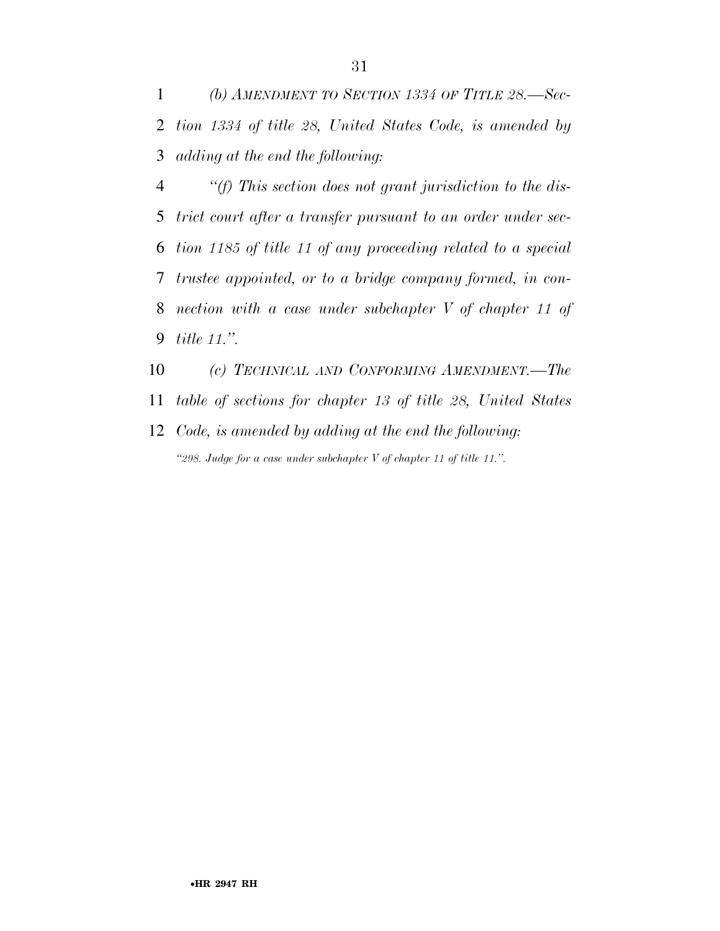*(b) AMENDMENT TO SECTION 1334 OF TITLE 28.—Sec- tion 1334 of title 28, United States Code, is amended by adding at the end the following:* 

 *''(f) This section does not grant jurisdiction to the dis- trict court after a transfer pursuant to an order under sec- tion 1185 of title 11 of any proceeding related to a special trustee appointed, or to a bridge company formed, in con- nection with a case under subchapter V of chapter 11 of title 11.''.* 

 *(c) TECHNICAL AND CONFORMING AMENDMENT.—The table of sections for chapter 13 of title 28, United States* 

 *Code, is amended by adding at the end the following: ''298. Judge for a case under subchapter V of chapter 11 of title 11.''.*